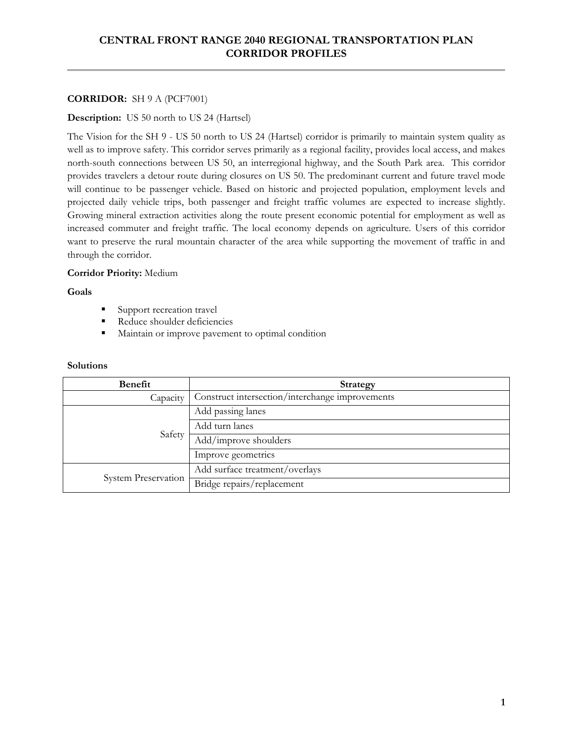# **CENTRAL FRONT RANGE 2040 REGIONAL TRANSPORTATION PLAN CORRIDOR PROFILES**

# **CORRIDOR:** SH 9 A (PCF7001)

# **Description:** US 50 north to US 24 (Hartsel)

The Vision for the SH 9 - US 50 north to US 24 (Hartsel) corridor is primarily to maintain system quality as well as to improve safety. This corridor serves primarily as a regional facility, provides local access, and makes north-south connections between US 50, an interregional highway, and the South Park area. This corridor provides travelers a detour route during closures on US 50. The predominant current and future travel mode will continue to be passenger vehicle. Based on historic and projected population, employment levels and projected daily vehicle trips, both passenger and freight traffic volumes are expected to increase slightly. Growing mineral extraction activities along the route present economic potential for employment as well as increased commuter and freight traffic. The local economy depends on agriculture. Users of this corridor want to preserve the rural mountain character of the area while supporting the movement of traffic in and through the corridor.

# **Corridor Priority:** Medium

# **Goals**

- Support recreation travel
- Reduce shoulder deficiencies
- **Maintain or improve pavement to optimal condition**

| Benefit             | <b>Strategy</b>                                 |
|---------------------|-------------------------------------------------|
| Capacity            | Construct intersection/interchange improvements |
| Safety              | Add passing lanes                               |
|                     | Add turn lanes                                  |
|                     | Add/improve shoulders                           |
|                     | Improve geometrics                              |
| System Preservation | Add surface treatment/overlays                  |
|                     | Bridge repairs/replacement                      |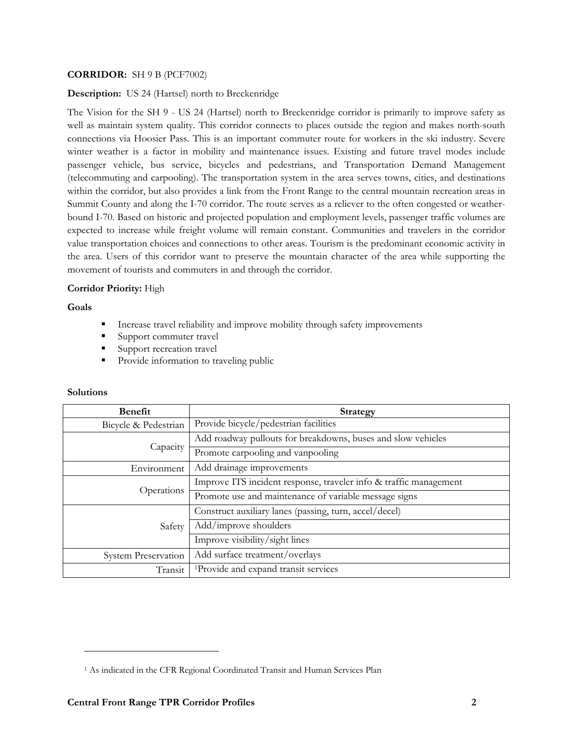# **CORRIDOR:** SH 9 B (PCF7002)

## **Description:** US 24 (Hartsel) north to Breckenridge

The Vision for the SH 9 - US 24 (Hartsel) north to Breckenridge corridor is primarily to improve safety as well as maintain system quality. This corridor connects to places outside the region and makes north-south connections via Hoosier Pass. This is an important commuter route for workers in the ski industry. Severe winter weather is a factor in mobility and maintenance issues. Existing and future travel modes include passenger vehicle, bus service, bicycles and pedestrians, and Transportation Demand Management (telecommuting and carpooling). The transportation system in the area serves towns, cities, and destinations within the corridor, but also provides a link from the Front Range to the central mountain recreation areas in Summit County and along the I-70 corridor. The route serves as a reliever to the often congested or weatherbound I-70. Based on historic and projected population and employment levels, passenger traffic volumes are expected to increase while freight volume will remain constant. Communities and travelers in the corridor value transportation choices and connections to other areas. Tourism is the predominant economic activity in the area. Users of this corridor want to preserve the mountain character of the area while supporting the movement of tourists and commuters in and through the corridor.

## **Corridor Priority:** High

**Goals** 

- Increase travel reliability and improve mobility through safety improvements
- Support commuter travel
- Support recreation travel
- **Provide information to traveling public**

| <b>Benefit</b>             | <b>Strategy</b>                                                   |
|----------------------------|-------------------------------------------------------------------|
| Bicycle & Pedestrian       | Provide bicycle/pedestrian facilities                             |
| Capacity                   | Add roadway pullouts for breakdowns, buses and slow vehicles      |
|                            | Promote carpooling and vanpooling                                 |
| Environment                | Add drainage improvements                                         |
| Operations                 | Improve ITS incident response, traveler info & traffic management |
|                            | Promote use and maintenance of variable message signs             |
| Safety                     | Construct auxiliary lanes (passing, turn, accel/decel)            |
|                            | Add/improve shoulders                                             |
|                            | Improve visibility/sight lines                                    |
| <b>System Preservation</b> | Add surface treatment/overlays                                    |
| Transit                    | <sup>1</sup> Provide and expand transit services                  |

#### **Solutions**

 $\overline{a}$ 

<sup>&</sup>lt;sup>1</sup> As indicated in the CFR Regional Coordinated Transit and Human Services Plan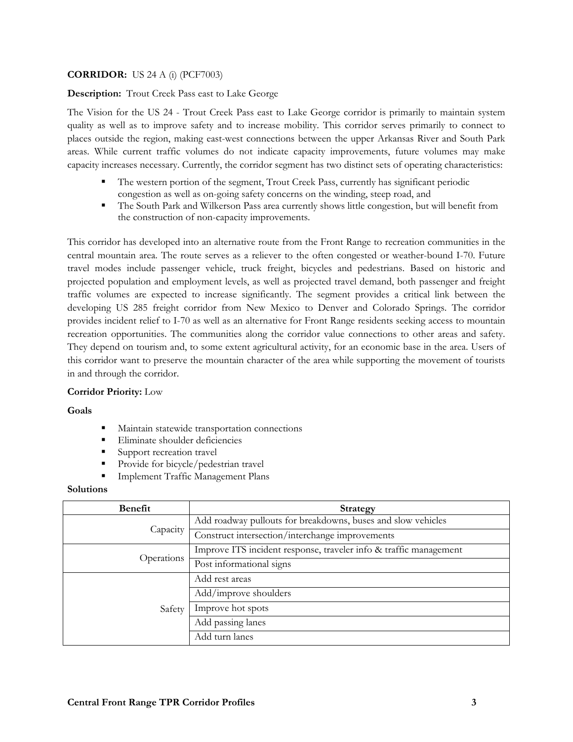# **CORRIDOR:** US 24 A (i) (PCF7003)

# **Description:** Trout Creek Pass east to Lake George

The Vision for the US 24 - Trout Creek Pass east to Lake George corridor is primarily to maintain system quality as well as to improve safety and to increase mobility. This corridor serves primarily to connect to places outside the region, making east-west connections between the upper Arkansas River and South Park areas. While current traffic volumes do not indicate capacity improvements, future volumes may make capacity increases necessary. Currently, the corridor segment has two distinct sets of operating characteristics:

- The western portion of the segment, Trout Creek Pass, currently has significant periodic congestion as well as on-going safety concerns on the winding, steep road, and
- The South Park and Wilkerson Pass area currently shows little congestion, but will benefit from the construction of non-capacity improvements.

This corridor has developed into an alternative route from the Front Range to recreation communities in the central mountain area. The route serves as a reliever to the often congested or weather-bound I-70. Future travel modes include passenger vehicle, truck freight, bicycles and pedestrians. Based on historic and projected population and employment levels, as well as projected travel demand, both passenger and freight traffic volumes are expected to increase significantly. The segment provides a critical link between the developing US 285 freight corridor from New Mexico to Denver and Colorado Springs. The corridor provides incident relief to I-70 as well as an alternative for Front Range residents seeking access to mountain recreation opportunities. The communities along the corridor value connections to other areas and safety. They depend on tourism and, to some extent agricultural activity, for an economic base in the area. Users of this corridor want to preserve the mountain character of the area while supporting the movement of tourists in and through the corridor.

#### **Corridor Priority:** Low

#### **Goals**

- Maintain statewide transportation connections
- **Eliminate shoulder deficiencies**
- Support recreation travel
- Provide for bicycle/pedestrian travel
- Implement Traffic Management Plans

| <b>Benefit</b> | <b>Strategy</b>                                                   |
|----------------|-------------------------------------------------------------------|
| Capacity       | Add roadway pullouts for breakdowns, buses and slow vehicles      |
|                | Construct intersection/interchange improvements                   |
| Operations     | Improve ITS incident response, traveler info & traffic management |
|                | Post informational signs                                          |
| Safety         | Add rest areas                                                    |
|                | Add/improve shoulders                                             |
|                | Improve hot spots                                                 |
|                | Add passing lanes                                                 |
|                | Add turn lanes                                                    |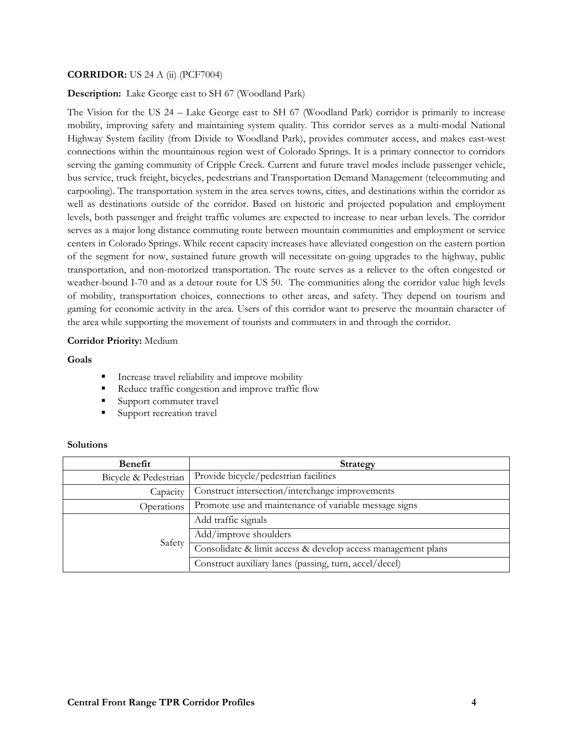### **CORRIDOR:** US 24 A (ii) (PCF7004)

#### **Description:** Lake George east to SH 67 (Woodland Park)

The Vision for the US 24 – Lake George east to SH 67 (Woodland Park) corridor is primarily to increase mobility, improving safety and maintaining system quality. This corridor serves as a multi-modal National Highway System facility (from Divide to Woodland Park), provides commuter access, and makes east-west connections within the mountainous region west of Colorado Springs. It is a primary connector to corridors serving the gaming community of Cripple Creek. Current and future travel modes include passenger vehicle, bus service, truck freight, bicycles, pedestrians and Transportation Demand Management (telecommuting and carpooling). The transportation system in the area serves towns, cities, and destinations within the corridor as well as destinations outside of the corridor. Based on historic and projected population and employment levels, both passenger and freight traffic volumes are expected to increase to near urban levels. The corridor serves as a major long distance commuting route between mountain communities and employment or service centers in Colorado Springs. While recent capacity increases have alleviated congestion on the eastern portion of the segment for now, sustained future growth will necessitate on-going upgrades to the highway, public transportation, and non-motorized transportation. The route serves as a reliever to the often congested or weather-bound I-70 and as a detour route for US 50. The communities along the corridor value high levels of mobility, transportation choices, connections to other areas, and safety. They depend on tourism and gaming for economic activity in the area. Users of this corridor want to preserve the mountain character of the area while supporting the movement of tourists and commuters in and through the corridor.

#### **Corridor Priority:** Medium

#### **Goals**

- Increase travel reliability and improve mobility
- Reduce traffic congestion and improve traffic flow
- Support commuter travel
- Support recreation travel

| Benefit              | <b>Strategy</b>                                              |
|----------------------|--------------------------------------------------------------|
| Bicycle & Pedestrian | Provide bicycle/pedestrian facilities                        |
| Capacity             | Construct intersection/interchange improvements              |
| Operations           | Promote use and maintenance of variable message signs        |
| Safety               | Add traffic signals                                          |
|                      | Add/improve shoulders                                        |
|                      | Consolidate & limit access & develop access management plans |
|                      | Construct auxiliary lanes (passing, turn, accel/decel)       |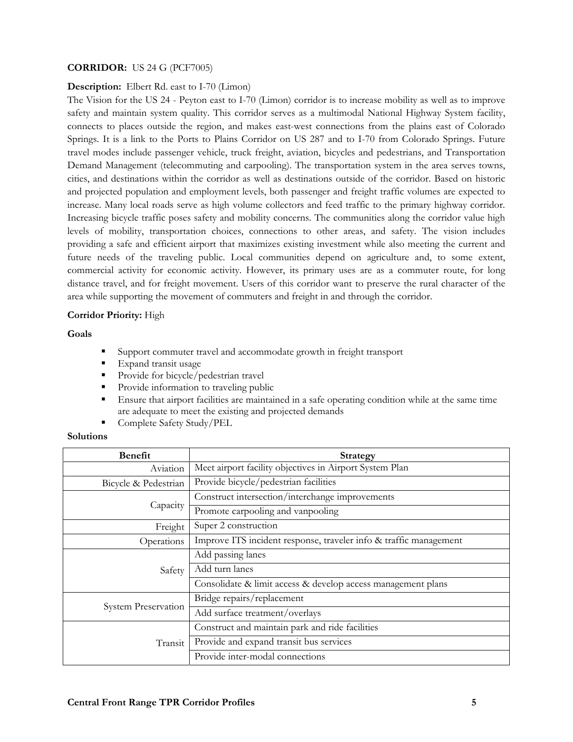# **CORRIDOR:** US 24 G (PCF7005)

#### **Description:** Elbert Rd. east to I-70 (Limon)

The Vision for the US 24 - Peyton east to I-70 (Limon) corridor is to increase mobility as well as to improve safety and maintain system quality. This corridor serves as a multimodal National Highway System facility, connects to places outside the region, and makes east-west connections from the plains east of Colorado Springs. It is a link to the Ports to Plains Corridor on US 287 and to I-70 from Colorado Springs. Future travel modes include passenger vehicle, truck freight, aviation, bicycles and pedestrians, and Transportation Demand Management (telecommuting and carpooling). The transportation system in the area serves towns, cities, and destinations within the corridor as well as destinations outside of the corridor. Based on historic and projected population and employment levels, both passenger and freight traffic volumes are expected to increase. Many local roads serve as high volume collectors and feed traffic to the primary highway corridor. Increasing bicycle traffic poses safety and mobility concerns. The communities along the corridor value high levels of mobility, transportation choices, connections to other areas, and safety. The vision includes providing a safe and efficient airport that maximizes existing investment while also meeting the current and future needs of the traveling public. Local communities depend on agriculture and, to some extent, commercial activity for economic activity. However, its primary uses are as a commuter route, for long distance travel, and for freight movement. Users of this corridor want to preserve the rural character of the area while supporting the movement of commuters and freight in and through the corridor.

#### **Corridor Priority:** High

#### **Goals**

- Support commuter travel and accommodate growth in freight transport
- **Expand transit usage**
- Provide for bicycle/pedestrian travel
- Provide information to traveling public
- Ensure that airport facilities are maintained in a safe operating condition while at the same time are adequate to meet the existing and projected demands
- Complete Safety Study/PEL

| <b>Benefit</b>       | <b>Strategy</b>                                                   |
|----------------------|-------------------------------------------------------------------|
| Aviation             | Meet airport facility objectives in Airport System Plan           |
| Bicycle & Pedestrian | Provide bicycle/pedestrian facilities                             |
|                      | Construct intersection/interchange improvements                   |
| Capacity             | Promote carpooling and vanpooling                                 |
| Freight              | Super 2 construction                                              |
| Operations           | Improve ITS incident response, traveler info & traffic management |
| Safety               | Add passing lanes                                                 |
|                      | Add turn lanes                                                    |
|                      | Consolidate & limit access & develop access management plans      |
| System Preservation  | Bridge repairs/replacement                                        |
|                      | Add surface treatment/overlays                                    |
| Transit              | Construct and maintain park and ride facilities                   |
|                      | Provide and expand transit bus services                           |
|                      | Provide inter-modal connections                                   |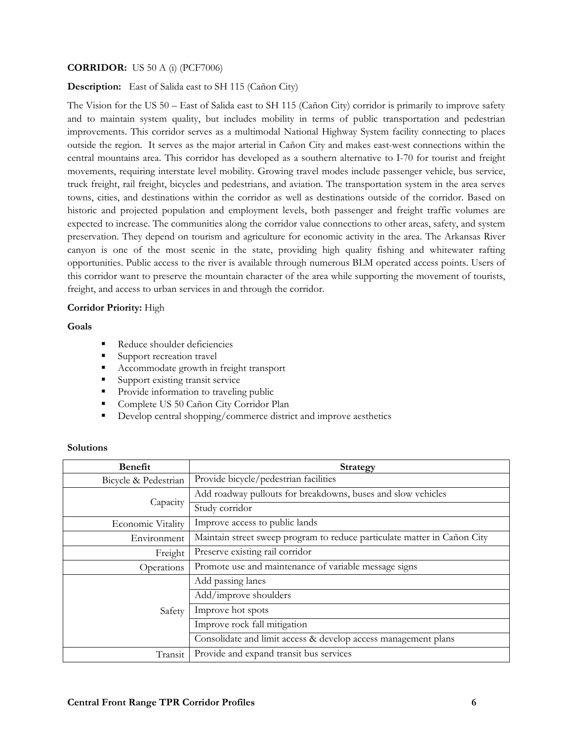### **CORRIDOR:** US 50 A (i) (PCF7006)

**Description:** East of Salida east to SH 115 (Cañon City)

The Vision for the US 50 – East of Salida east to SH 115 (Cañon City) corridor is primarily to improve safety and to maintain system quality, but includes mobility in terms of public transportation and pedestrian improvements. This corridor serves as a multimodal National Highway System facility connecting to places outside the region. It serves as the major arterial in Cañon City and makes east-west connections within the central mountains area. This corridor has developed as a southern alternative to I-70 for tourist and freight movements, requiring interstate level mobility. Growing travel modes include passenger vehicle, bus service, truck freight, rail freight, bicycles and pedestrians, and aviation. The transportation system in the area serves towns, cities, and destinations within the corridor as well as destinations outside of the corridor. Based on historic and projected population and employment levels, both passenger and freight traffic volumes are expected to increase. The communities along the corridor value connections to other areas, safety, and system preservation. They depend on tourism and agriculture for economic activity in the area. The Arkansas River canyon is one of the most scenic in the state, providing high quality fishing and whitewater rafting opportunities. Public access to the river is available through numerous BLM operated access points. Users of this corridor want to preserve the mountain character of the area while supporting the movement of tourists, freight, and access to urban services in and through the corridor.

#### **Corridor Priority:** High

**Goals** 

- Reduce shoulder deficiencies
- Support recreation travel
- Accommodate growth in freight transport
- Support existing transit service
- Provide information to traveling public
- **Complete US 50 Cañon City Corridor Plan**
- Develop central shopping/commerce district and improve aesthetics

| <b>Benefit</b>       | <b>Strategy</b>                                                          |
|----------------------|--------------------------------------------------------------------------|
| Bicycle & Pedestrian | Provide bicycle/pedestrian facilities                                    |
|                      | Add roadway pullouts for breakdowns, buses and slow vehicles             |
| Capacity             | Study corridor                                                           |
| Economic Vitality    | Improve access to public lands                                           |
| Environment          | Maintain street sweep program to reduce particulate matter in Cañon City |
| Freight              | Preserve existing rail corridor                                          |
| Operations           | Promote use and maintenance of variable message signs                    |
|                      | Add passing lanes                                                        |
| Safety               | Add/improve shoulders                                                    |
|                      | Improve hot spots                                                        |
|                      | Improve rock fall mitigation                                             |
|                      | Consolidate and limit access & develop access management plans           |
| Transit              | Provide and expand transit bus services                                  |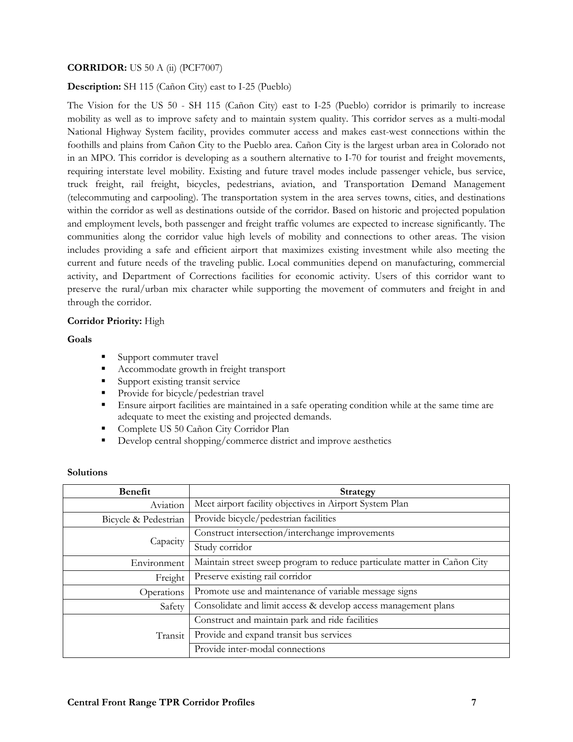### **CORRIDOR:** US 50 A (ii) (PCF7007)

#### **Description:** SH 115 (Cañon City) east to I-25 (Pueblo)

The Vision for the US 50 - SH 115 (Cañon City) east to I-25 (Pueblo) corridor is primarily to increase mobility as well as to improve safety and to maintain system quality. This corridor serves as a multi-modal National Highway System facility, provides commuter access and makes east-west connections within the foothills and plains from Cañon City to the Pueblo area. Cañon City is the largest urban area in Colorado not in an MPO. This corridor is developing as a southern alternative to I-70 for tourist and freight movements, requiring interstate level mobility. Existing and future travel modes include passenger vehicle, bus service, truck freight, rail freight, bicycles, pedestrians, aviation, and Transportation Demand Management (telecommuting and carpooling). The transportation system in the area serves towns, cities, and destinations within the corridor as well as destinations outside of the corridor. Based on historic and projected population and employment levels, both passenger and freight traffic volumes are expected to increase significantly. The communities along the corridor value high levels of mobility and connections to other areas. The vision includes providing a safe and efficient airport that maximizes existing investment while also meeting the current and future needs of the traveling public. Local communities depend on manufacturing, commercial activity, and Department of Corrections facilities for economic activity. Users of this corridor want to preserve the rural/urban mix character while supporting the movement of commuters and freight in and through the corridor.

## **Corridor Priority:** High

#### **Goals**

- Support commuter travel
- Accommodate growth in freight transport
- **Support existing transit service**
- Provide for bicycle/pedestrian travel
- Ensure airport facilities are maintained in a safe operating condition while at the same time are adequate to meet the existing and projected demands.
- **Complete US 50 Cañon City Corridor Plan**
- Develop central shopping/commerce district and improve aesthetics

| <b>Benefit</b>       | Strategy                                                                 |
|----------------------|--------------------------------------------------------------------------|
| Aviation             | Meet airport facility objectives in Airport System Plan                  |
| Bicycle & Pedestrian | Provide bicycle/pedestrian facilities                                    |
| Capacity             | Construct intersection/interchange improvements                          |
|                      | Study corridor                                                           |
| Environment          | Maintain street sweep program to reduce particulate matter in Cañon City |
| Freight              | Preserve existing rail corridor                                          |
| Operations           | Promote use and maintenance of variable message signs                    |
| Safety               | Consolidate and limit access & develop access management plans           |
| Transit              | Construct and maintain park and ride facilities                          |
|                      | Provide and expand transit bus services                                  |
|                      | Provide inter-modal connections                                          |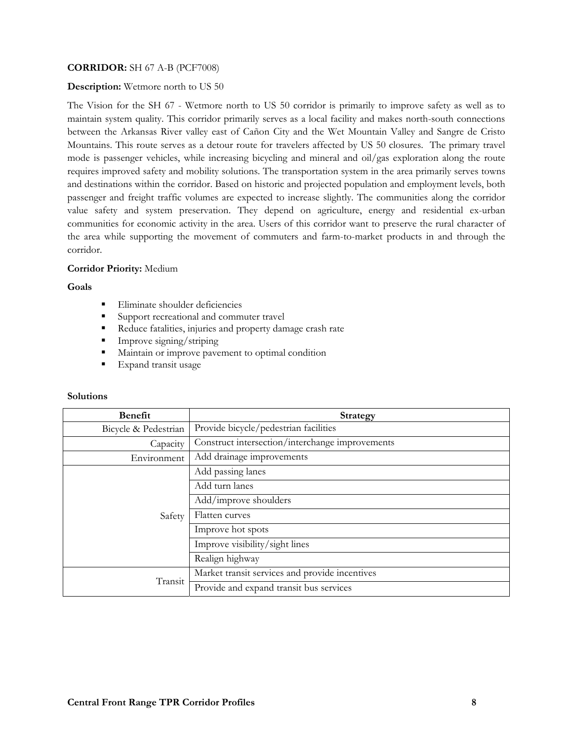# **CORRIDOR:** SH 67 A-B (PCF7008)

### **Description:** Wetmore north to US 50

The Vision for the SH 67 - Wetmore north to US 50 corridor is primarily to improve safety as well as to maintain system quality. This corridor primarily serves as a local facility and makes north-south connections between the Arkansas River valley east of Cañon City and the Wet Mountain Valley and Sangre de Cristo Mountains. This route serves as a detour route for travelers affected by US 50 closures. The primary travel mode is passenger vehicles, while increasing bicycling and mineral and oil/gas exploration along the route requires improved safety and mobility solutions. The transportation system in the area primarily serves towns and destinations within the corridor. Based on historic and projected population and employment levels, both passenger and freight traffic volumes are expected to increase slightly. The communities along the corridor value safety and system preservation. They depend on agriculture, energy and residential ex-urban communities for economic activity in the area. Users of this corridor want to preserve the rural character of the area while supporting the movement of commuters and farm-to-market products in and through the corridor.

## **Corridor Priority:** Medium

#### **Goals**

- **Eliminate shoulder deficiencies**
- Support recreational and commuter travel
- Reduce fatalities, injuries and property damage crash rate
- Improve signing/striping
- **Maintain or improve pavement to optimal condition**
- **Expand transit usage**

| <b>Benefit</b>       | <b>Strategy</b>                                 |
|----------------------|-------------------------------------------------|
| Bicycle & Pedestrian | Provide bicycle/pedestrian facilities           |
| Capacity             | Construct intersection/interchange improvements |
| Environment          | Add drainage improvements                       |
|                      | Add passing lanes                               |
| Safety               | Add turn lanes                                  |
|                      | Add/improve shoulders                           |
|                      | Flatten curves                                  |
|                      | Improve hot spots                               |
|                      | Improve visibility/sight lines                  |
|                      | Realign highway                                 |
| Transit              | Market transit services and provide incentives  |
|                      | Provide and expand transit bus services         |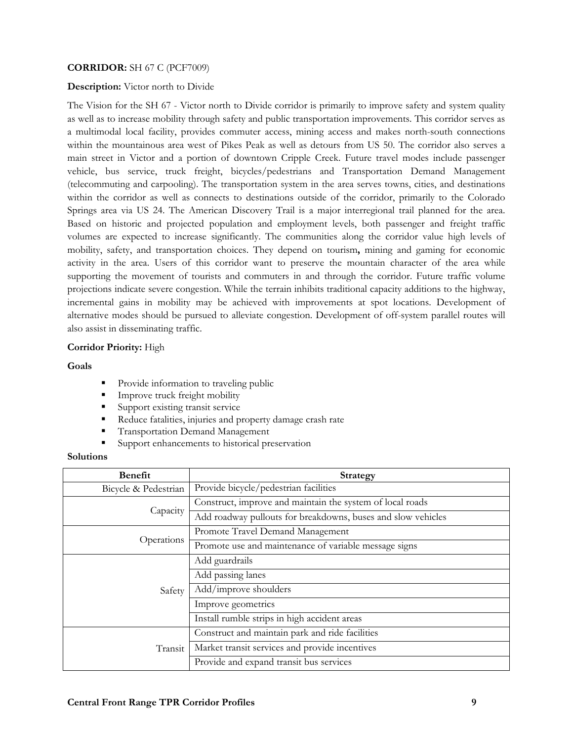# **CORRIDOR:** SH 67 C (PCF7009)

### **Description:** Victor north to Divide

The Vision for the SH 67 - Victor north to Divide corridor is primarily to improve safety and system quality as well as to increase mobility through safety and public transportation improvements. This corridor serves as a multimodal local facility, provides commuter access, mining access and makes north-south connections within the mountainous area west of Pikes Peak as well as detours from US 50. The corridor also serves a main street in Victor and a portion of downtown Cripple Creek. Future travel modes include passenger vehicle, bus service, truck freight, bicycles/pedestrians and Transportation Demand Management (telecommuting and carpooling). The transportation system in the area serves towns, cities, and destinations within the corridor as well as connects to destinations outside of the corridor, primarily to the Colorado Springs area via US 24. The American Discovery Trail is a major interregional trail planned for the area. Based on historic and projected population and employment levels, both passenger and freight traffic volumes are expected to increase significantly. The communities along the corridor value high levels of mobility, safety, and transportation choices. They depend on tourism**,** mining and gaming for economic activity in the area. Users of this corridor want to preserve the mountain character of the area while supporting the movement of tourists and commuters in and through the corridor. Future traffic volume projections indicate severe congestion. While the terrain inhibits traditional capacity additions to the highway, incremental gains in mobility may be achieved with improvements at spot locations. Development of alternative modes should be pursued to alleviate congestion. Development of off-system parallel routes will also assist in disseminating traffic.

## **Corridor Priority:** High

#### **Goals**

- Provide information to traveling public
- **Improve truck freight mobility**
- Support existing transit service
- Reduce fatalities, injuries and property damage crash rate
- Transportation Demand Management
- Support enhancements to historical preservation

| <b>Benefit</b>       | <b>Strategy</b>                                              |
|----------------------|--------------------------------------------------------------|
| Bicycle & Pedestrian | Provide bicycle/pedestrian facilities                        |
| Capacity             | Construct, improve and maintain the system of local roads    |
|                      | Add roadway pullouts for breakdowns, buses and slow vehicles |
| Operations           | Promote Travel Demand Management                             |
|                      | Promote use and maintenance of variable message signs        |
| Safety               | Add guardrails                                               |
|                      | Add passing lanes                                            |
|                      | Add/improve shoulders                                        |
|                      | Improve geometrics                                           |
|                      | Install rumble strips in high accident areas                 |
| Transit              | Construct and maintain park and ride facilities              |
|                      | Market transit services and provide incentives               |
|                      | Provide and expand transit bus services                      |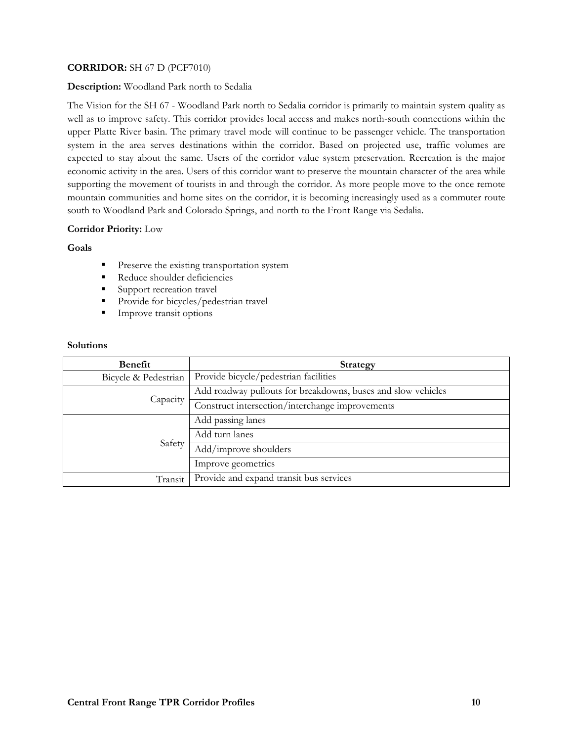# **CORRIDOR:** SH 67 D (PCF7010)

## **Description:** Woodland Park north to Sedalia

The Vision for the SH 67 - Woodland Park north to Sedalia corridor is primarily to maintain system quality as well as to improve safety. This corridor provides local access and makes north-south connections within the upper Platte River basin. The primary travel mode will continue to be passenger vehicle. The transportation system in the area serves destinations within the corridor. Based on projected use, traffic volumes are expected to stay about the same. Users of the corridor value system preservation. Recreation is the major economic activity in the area. Users of this corridor want to preserve the mountain character of the area while supporting the movement of tourists in and through the corridor. As more people move to the once remote mountain communities and home sites on the corridor, it is becoming increasingly used as a commuter route south to Woodland Park and Colorado Springs, and north to the Front Range via Sedalia.

# **Corridor Priority:** Low

#### **Goals**

- **Preserve the existing transportation system**
- Reduce shoulder deficiencies
- Support recreation travel
- Provide for bicycles/pedestrian travel
- **Improve transit options**

| Benefit              | <b>Strategy</b>                                              |
|----------------------|--------------------------------------------------------------|
| Bicycle & Pedestrian | Provide bicycle/pedestrian facilities                        |
| Capacity             | Add roadway pullouts for breakdowns, buses and slow vehicles |
|                      | Construct intersection/interchange improvements              |
| Safety               | Add passing lanes                                            |
|                      | Add turn lanes                                               |
|                      | Add/improve shoulders                                        |
|                      | Improve geometrics                                           |
| Transit              | Provide and expand transit bus services                      |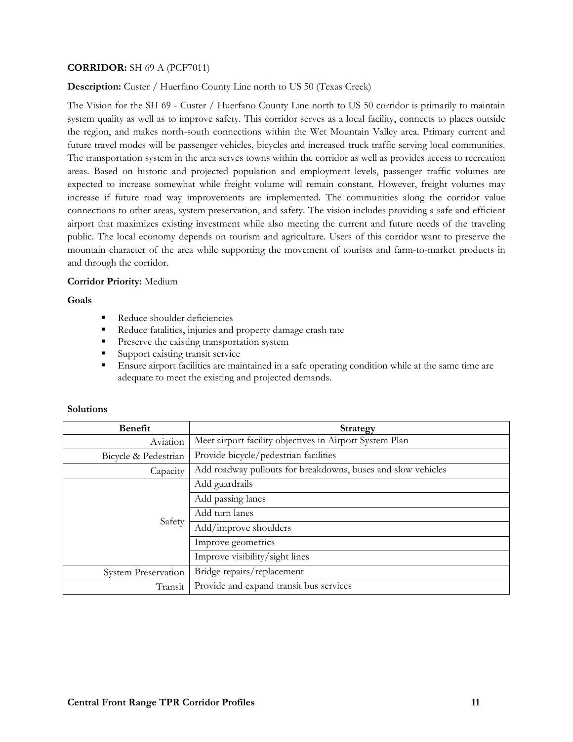# **CORRIDOR:** SH 69 A (PCF7011)

**Description:** Custer / Huerfano County Line north to US 50 (Texas Creek)

The Vision for the SH 69 - Custer / Huerfano County Line north to US 50 corridor is primarily to maintain system quality as well as to improve safety. This corridor serves as a local facility, connects to places outside the region, and makes north-south connections within the Wet Mountain Valley area. Primary current and future travel modes will be passenger vehicles, bicycles and increased truck traffic serving local communities. The transportation system in the area serves towns within the corridor as well as provides access to recreation areas. Based on historic and projected population and employment levels, passenger traffic volumes are expected to increase somewhat while freight volume will remain constant. However, freight volumes may increase if future road way improvements are implemented. The communities along the corridor value connections to other areas, system preservation, and safety. The vision includes providing a safe and efficient airport that maximizes existing investment while also meeting the current and future needs of the traveling public. The local economy depends on tourism and agriculture. Users of this corridor want to preserve the mountain character of the area while supporting the movement of tourists and farm-to-market products in and through the corridor.

#### **Corridor Priority:** Medium

#### **Goals**

- Reduce shoulder deficiencies
- Reduce fatalities, injuries and property damage crash rate
- **Preserve the existing transportation system**
- **Support existing transit service**
- Ensure airport facilities are maintained in a safe operating condition while at the same time are adequate to meet the existing and projected demands.

| <b>Benefit</b>             | <b>Strategy</b>                                              |
|----------------------------|--------------------------------------------------------------|
| Aviation                   | Meet airport facility objectives in Airport System Plan      |
| Bicycle & Pedestrian       | Provide bicycle/pedestrian facilities                        |
| Capacity                   | Add roadway pullouts for breakdowns, buses and slow vehicles |
| Safety                     | Add guardrails                                               |
|                            | Add passing lanes                                            |
|                            | Add turn lanes                                               |
|                            | Add/improve shoulders                                        |
|                            | Improve geometrics                                           |
|                            | Improve visibility/sight lines                               |
| <b>System Preservation</b> | Bridge repairs/replacement                                   |
| Transit                    | Provide and expand transit bus services                      |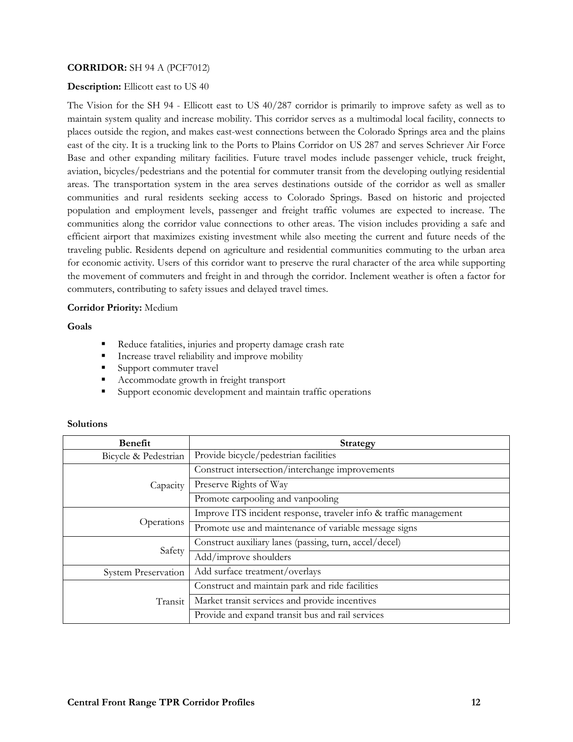# **CORRIDOR:** SH 94 A (PCF7012)

### **Description:** Ellicott east to US 40

The Vision for the SH 94 - Ellicott east to US 40/287 corridor is primarily to improve safety as well as to maintain system quality and increase mobility. This corridor serves as a multimodal local facility, connects to places outside the region, and makes east-west connections between the Colorado Springs area and the plains east of the city. It is a trucking link to the Ports to Plains Corridor on US 287 and serves Schriever Air Force Base and other expanding military facilities. Future travel modes include passenger vehicle, truck freight, aviation, bicycles/pedestrians and the potential for commuter transit from the developing outlying residential areas. The transportation system in the area serves destinations outside of the corridor as well as smaller communities and rural residents seeking access to Colorado Springs. Based on historic and projected population and employment levels, passenger and freight traffic volumes are expected to increase. The communities along the corridor value connections to other areas. The vision includes providing a safe and efficient airport that maximizes existing investment while also meeting the current and future needs of the traveling public. Residents depend on agriculture and residential communities commuting to the urban area for economic activity. Users of this corridor want to preserve the rural character of the area while supporting the movement of commuters and freight in and through the corridor. Inclement weather is often a factor for commuters, contributing to safety issues and delayed travel times.

#### **Corridor Priority:** Medium

**Goals** 

- Reduce fatalities, injuries and property damage crash rate
- **Increase travel reliability and improve mobility**
- Support commuter travel
- Accommodate growth in freight transport
- Support economic development and maintain traffic operations

| <b>Benefit</b>             | Strategy                                                          |
|----------------------------|-------------------------------------------------------------------|
| Bicycle & Pedestrian       | Provide bicycle/pedestrian facilities                             |
|                            | Construct intersection/interchange improvements                   |
| Capacity                   | Preserve Rights of Way                                            |
|                            | Promote carpooling and vanpooling                                 |
| Operations                 | Improve ITS incident response, traveler info & traffic management |
|                            | Promote use and maintenance of variable message signs             |
| Safety                     | Construct auxiliary lanes (passing, turn, accel/decel)            |
|                            | Add/improve shoulders                                             |
| <b>System Preservation</b> | Add surface treatment/overlays                                    |
| Transit                    | Construct and maintain park and ride facilities                   |
|                            | Market transit services and provide incentives                    |
|                            | Provide and expand transit bus and rail services                  |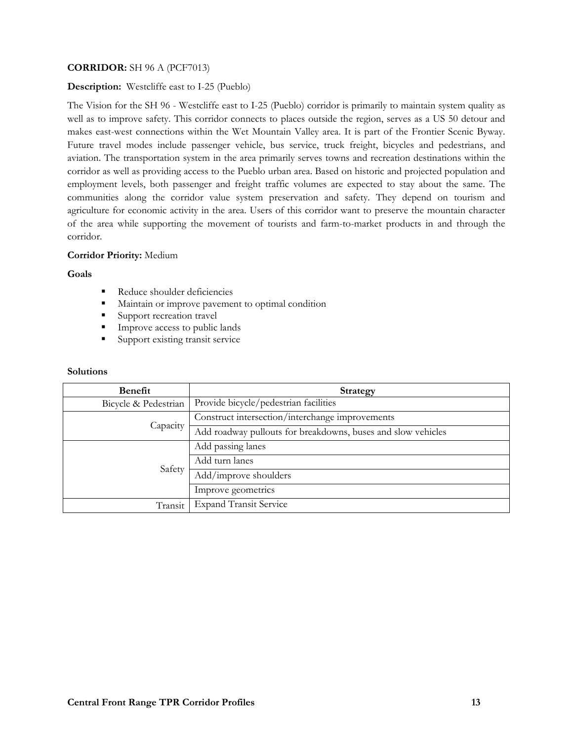# **CORRIDOR:** SH 96 A (PCF7013)

# **Description:** Westcliffe east to I-25 (Pueblo)

The Vision for the SH 96 - Westcliffe east to I-25 (Pueblo) corridor is primarily to maintain system quality as well as to improve safety. This corridor connects to places outside the region, serves as a US 50 detour and makes east-west connections within the Wet Mountain Valley area. It is part of the Frontier Scenic Byway. Future travel modes include passenger vehicle, bus service, truck freight, bicycles and pedestrians, and aviation. The transportation system in the area primarily serves towns and recreation destinations within the corridor as well as providing access to the Pueblo urban area. Based on historic and projected population and employment levels, both passenger and freight traffic volumes are expected to stay about the same. The communities along the corridor value system preservation and safety. They depend on tourism and agriculture for economic activity in the area. Users of this corridor want to preserve the mountain character of the area while supporting the movement of tourists and farm-to-market products in and through the corridor.

## **Corridor Priority:** Medium

#### **Goals**

- Reduce shoulder deficiencies
- **Maintain or improve pavement to optimal condition**
- Support recreation travel
- **Improve access to public lands**
- **Support existing transit service**

| <b>Benefit</b>       | <b>Strategy</b>                                              |
|----------------------|--------------------------------------------------------------|
| Bicycle & Pedestrian | Provide bicycle/pedestrian facilities                        |
| Capacity             | Construct intersection/interchange improvements              |
|                      | Add roadway pullouts for breakdowns, buses and slow vehicles |
| Safety               | Add passing lanes                                            |
|                      | Add turn lanes                                               |
|                      | Add/improve shoulders                                        |
|                      | Improve geometrics                                           |
| Transit              | <b>Expand Transit Service</b>                                |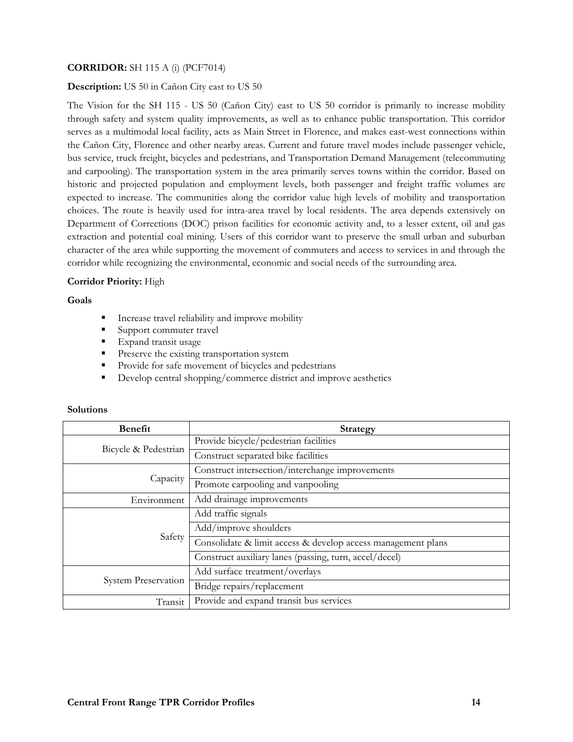# **CORRIDOR:** SH 115 A (i) (PCF7014)

### **Description:** US 50 in Cañon City east to US 50

The Vision for the SH 115 - US 50 (Cañon City) east to US 50 corridor is primarily to increase mobility through safety and system quality improvements, as well as to enhance public transportation. This corridor serves as a multimodal local facility, acts as Main Street in Florence, and makes east-west connections within the Cañon City, Florence and other nearby areas. Current and future travel modes include passenger vehicle, bus service, truck freight, bicycles and pedestrians, and Transportation Demand Management (telecommuting and carpooling). The transportation system in the area primarily serves towns within the corridor. Based on historic and projected population and employment levels, both passenger and freight traffic volumes are expected to increase. The communities along the corridor value high levels of mobility and transportation choices. The route is heavily used for intra-area travel by local residents. The area depends extensively on Department of Corrections (DOC) prison facilities for economic activity and, to a lesser extent, oil and gas extraction and potential coal mining. Users of this corridor want to preserve the small urban and suburban character of the area while supporting the movement of commuters and access to services in and through the corridor while recognizing the environmental, economic and social needs of the surrounding area.

#### **Corridor Priority:** High

#### **Goals**

- **Increase travel reliability and improve mobility**
- Support commuter travel
- **Expand transit usage**
- **Preserve the existing transportation system**
- Provide for safe movement of bicycles and pedestrians
- Develop central shopping/commerce district and improve aesthetics

| <b>Benefit</b>       | <b>Strategy</b>                                              |
|----------------------|--------------------------------------------------------------|
| Bicycle & Pedestrian | Provide bicycle/pedestrian facilities                        |
|                      | Construct separated bike facilities                          |
| Capacity             | Construct intersection/interchange improvements              |
|                      | Promote carpooling and vanpooling                            |
| Environment          | Add drainage improvements                                    |
| Safety               | Add traffic signals                                          |
|                      | Add/improve shoulders                                        |
|                      | Consolidate & limit access & develop access management plans |
|                      | Construct auxiliary lanes (passing, turn, accel/decel)       |
| System Preservation  | Add surface treatment/overlays                               |
|                      | Bridge repairs/replacement                                   |
| Transit              | Provide and expand transit bus services                      |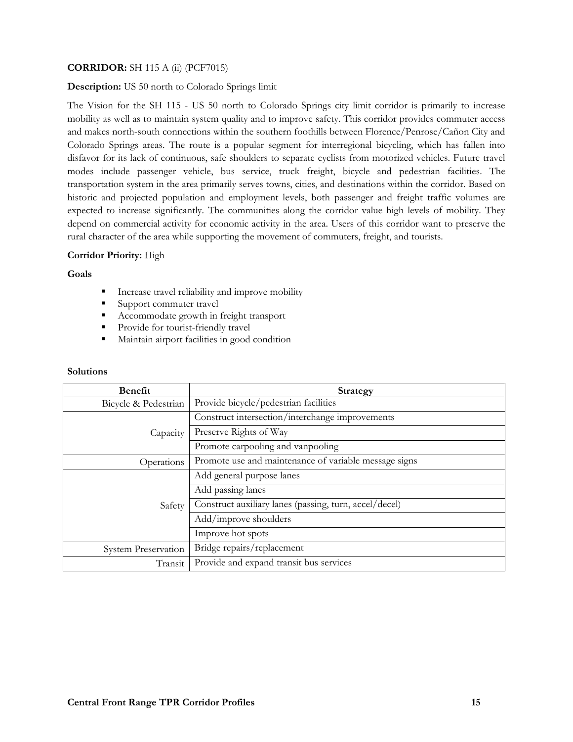# **CORRIDOR:** SH 115 A (ii) (PCF7015)

# **Description:** US 50 north to Colorado Springs limit

The Vision for the SH 115 - US 50 north to Colorado Springs city limit corridor is primarily to increase mobility as well as to maintain system quality and to improve safety. This corridor provides commuter access and makes north-south connections within the southern foothills between Florence/Penrose/Cañon City and Colorado Springs areas. The route is a popular segment for interregional bicycling, which has fallen into disfavor for its lack of continuous, safe shoulders to separate cyclists from motorized vehicles. Future travel modes include passenger vehicle, bus service, truck freight, bicycle and pedestrian facilities. The transportation system in the area primarily serves towns, cities, and destinations within the corridor. Based on historic and projected population and employment levels, both passenger and freight traffic volumes are expected to increase significantly. The communities along the corridor value high levels of mobility. They depend on commercial activity for economic activity in the area. Users of this corridor want to preserve the rural character of the area while supporting the movement of commuters, freight, and tourists.

## **Corridor Priority:** High

#### **Goals**

- Increase travel reliability and improve mobility
- Support commuter travel
- Accommodate growth in freight transport
- **Provide for tourist-friendly travel**
- Maintain airport facilities in good condition

| <b>Benefit</b>             | <b>Strategy</b>                                        |
|----------------------------|--------------------------------------------------------|
| Bicycle & Pedestrian       | Provide bicycle/pedestrian facilities                  |
| Capacity                   | Construct intersection/interchange improvements        |
|                            | Preserve Rights of Way                                 |
|                            | Promote carpooling and vanpooling                      |
| Operations                 | Promote use and maintenance of variable message signs  |
| Safety                     | Add general purpose lanes                              |
|                            | Add passing lanes                                      |
|                            | Construct auxiliary lanes (passing, turn, accel/decel) |
|                            | Add/improve shoulders                                  |
|                            | Improve hot spots                                      |
| <b>System Preservation</b> | Bridge repairs/replacement                             |
| Transit                    | Provide and expand transit bus services                |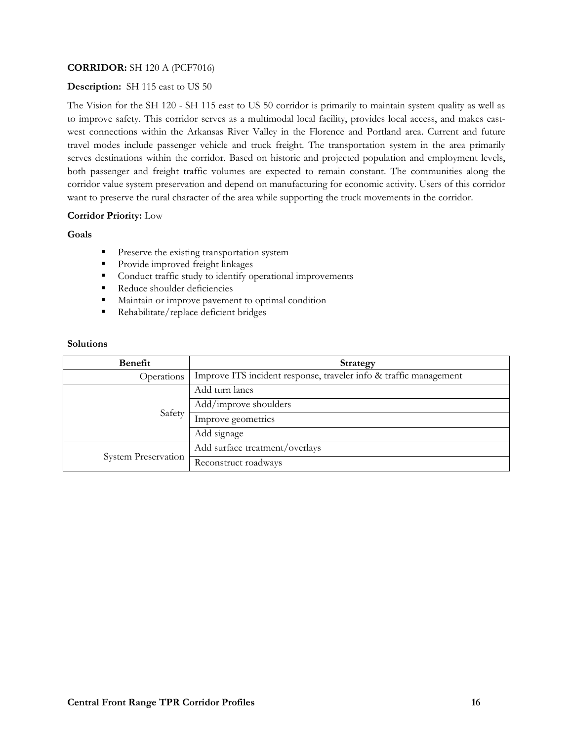# **CORRIDOR:** SH 120 A (PCF7016)

# **Description:** SH 115 east to US 50

The Vision for the SH 120 - SH 115 east to US 50 corridor is primarily to maintain system quality as well as to improve safety. This corridor serves as a multimodal local facility, provides local access, and makes eastwest connections within the Arkansas River Valley in the Florence and Portland area. Current and future travel modes include passenger vehicle and truck freight. The transportation system in the area primarily serves destinations within the corridor. Based on historic and projected population and employment levels, both passenger and freight traffic volumes are expected to remain constant. The communities along the corridor value system preservation and depend on manufacturing for economic activity. Users of this corridor want to preserve the rural character of the area while supporting the truck movements in the corridor.

## **Corridor Priority:** Low

## **Goals**

- **Preserve the existing transportation system**
- **Provide improved freight linkages**
- **Conduct traffic study to identify operational improvements**
- Reduce shoulder deficiencies
- Maintain or improve pavement to optimal condition
- Rehabilitate/replace deficient bridges

| Benefit                    | Strategy                                                          |
|----------------------------|-------------------------------------------------------------------|
| Operations                 | Improve ITS incident response, traveler info & traffic management |
| Safety                     | Add turn lanes                                                    |
|                            | Add/improve shoulders                                             |
|                            | Improve geometrics                                                |
|                            | Add signage                                                       |
| <b>System Preservation</b> | Add surface treatment/overlays                                    |
|                            | Reconstruct roadways                                              |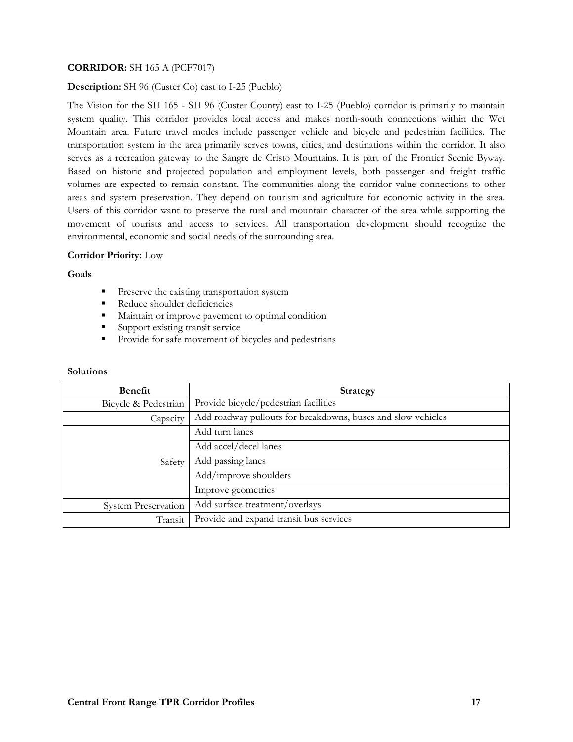# **CORRIDOR:** SH 165 A (PCF7017)

# **Description:** SH 96 (Custer Co) east to I-25 (Pueblo)

The Vision for the SH 165 - SH 96 (Custer County) east to I-25 (Pueblo) corridor is primarily to maintain system quality. This corridor provides local access and makes north-south connections within the Wet Mountain area. Future travel modes include passenger vehicle and bicycle and pedestrian facilities. The transportation system in the area primarily serves towns, cities, and destinations within the corridor. It also serves as a recreation gateway to the Sangre de Cristo Mountains. It is part of the Frontier Scenic Byway. Based on historic and projected population and employment levels, both passenger and freight traffic volumes are expected to remain constant. The communities along the corridor value connections to other areas and system preservation. They depend on tourism and agriculture for economic activity in the area. Users of this corridor want to preserve the rural and mountain character of the area while supporting the movement of tourists and access to services. All transportation development should recognize the environmental, economic and social needs of the surrounding area.

#### **Corridor Priority:** Low

#### **Goals**

- **Preserve the existing transportation system**
- Reduce shoulder deficiencies
- **Maintain or improve pavement to optimal condition**
- **Support existing transit service**
- **Provide for safe movement of bicycles and pedestrians**

| <b>Benefit</b>             | Strategy                                                     |
|----------------------------|--------------------------------------------------------------|
| Bicycle & Pedestrian       | Provide bicycle/pedestrian facilities                        |
| Capacity                   | Add roadway pullouts for breakdowns, buses and slow vehicles |
| Safety                     | Add turn lanes                                               |
|                            | Add accel/decel lanes                                        |
|                            | Add passing lanes                                            |
|                            | Add/improve shoulders                                        |
|                            | Improve geometrics                                           |
| <b>System Preservation</b> | Add surface treatment/overlays                               |
| Transit                    | Provide and expand transit bus services                      |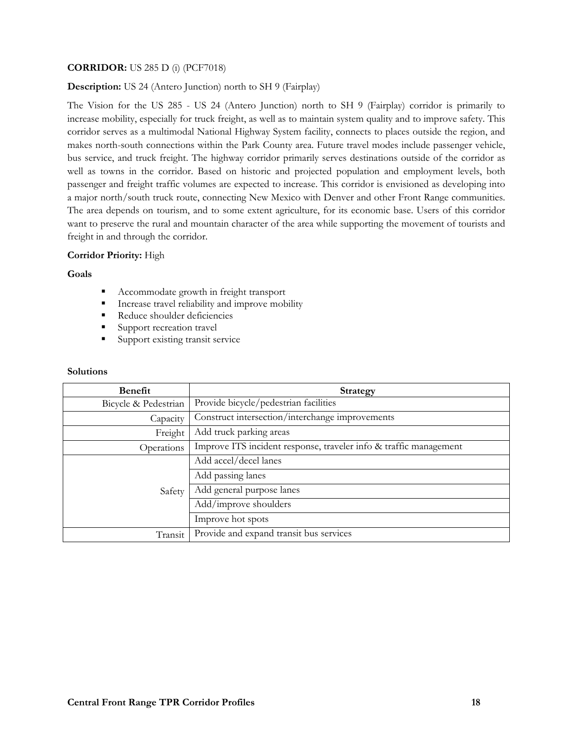# **CORRIDOR:** US 285 D (i) (PCF7018)

#### **Description:** US 24 (Antero Junction) north to SH 9 (Fairplay)

The Vision for the US 285 - US 24 (Antero Junction) north to SH 9 (Fairplay) corridor is primarily to increase mobility, especially for truck freight, as well as to maintain system quality and to improve safety. This corridor serves as a multimodal National Highway System facility, connects to places outside the region, and makes north-south connections within the Park County area. Future travel modes include passenger vehicle, bus service, and truck freight. The highway corridor primarily serves destinations outside of the corridor as well as towns in the corridor. Based on historic and projected population and employment levels, both passenger and freight traffic volumes are expected to increase. This corridor is envisioned as developing into a major north/south truck route, connecting New Mexico with Denver and other Front Range communities. The area depends on tourism, and to some extent agriculture, for its economic base. Users of this corridor want to preserve the rural and mountain character of the area while supporting the movement of tourists and freight in and through the corridor.

#### **Corridor Priority:** High

#### **Goals**

- Accommodate growth in freight transport
- Increase travel reliability and improve mobility
- Reduce shoulder deficiencies
- Support recreation travel
- **Support existing transit service**

| <b>Benefit</b>       | <b>Strategy</b>                                                   |
|----------------------|-------------------------------------------------------------------|
| Bicycle & Pedestrian | Provide bicycle/pedestrian facilities                             |
| Capacity             | Construct intersection/interchange improvements                   |
| Freight              | Add truck parking areas                                           |
| Operations           | Improve ITS incident response, traveler info & traffic management |
| Safety               | Add accel/decel lanes                                             |
|                      | Add passing lanes                                                 |
|                      | Add general purpose lanes                                         |
|                      | Add/improve shoulders                                             |
|                      | Improve hot spots                                                 |
| Transit              | Provide and expand transit bus services                           |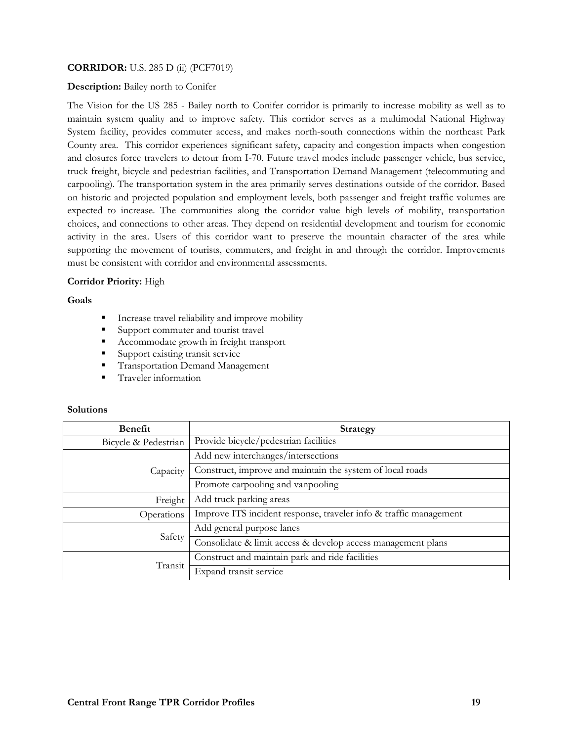# **CORRIDOR:** U.S. 285 D (ii) (PCF7019)

#### **Description:** Bailey north to Conifer

The Vision for the US 285 - Bailey north to Conifer corridor is primarily to increase mobility as well as to maintain system quality and to improve safety. This corridor serves as a multimodal National Highway System facility, provides commuter access, and makes north-south connections within the northeast Park County area. This corridor experiences significant safety, capacity and congestion impacts when congestion and closures force travelers to detour from I-70. Future travel modes include passenger vehicle, bus service, truck freight, bicycle and pedestrian facilities, and Transportation Demand Management (telecommuting and carpooling). The transportation system in the area primarily serves destinations outside of the corridor. Based on historic and projected population and employment levels, both passenger and freight traffic volumes are expected to increase. The communities along the corridor value high levels of mobility, transportation choices, and connections to other areas. They depend on residential development and tourism for economic activity in the area. Users of this corridor want to preserve the mountain character of the area while supporting the movement of tourists, commuters, and freight in and through the corridor. Improvements must be consistent with corridor and environmental assessments.

## **Corridor Priority:** High

#### **Goals**

- Increase travel reliability and improve mobility
- Support commuter and tourist travel
- Accommodate growth in freight transport
- Support existing transit service
- **Transportation Demand Management**
- **Traveler information**

| <b>Benefit</b>       | <b>Strategy</b>                                                   |
|----------------------|-------------------------------------------------------------------|
| Bicycle & Pedestrian | Provide bicycle/pedestrian facilities                             |
| Capacity             | Add new interchanges/intersections                                |
|                      | Construct, improve and maintain the system of local roads         |
|                      | Promote carpooling and vanpooling                                 |
| Freight              | Add truck parking areas                                           |
| Operations           | Improve ITS incident response, traveler info & traffic management |
| Safety               | Add general purpose lanes                                         |
|                      | Consolidate & limit access & develop access management plans      |
| Transit              | Construct and maintain park and ride facilities                   |
|                      | Expand transit service                                            |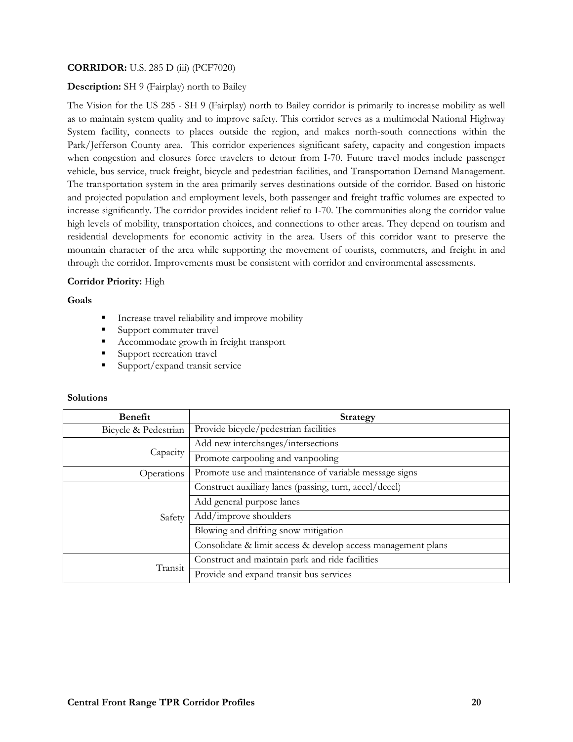# **CORRIDOR:** U.S. 285 D (iii) (PCF7020)

# **Description:** SH 9 (Fairplay) north to Bailey

The Vision for the US 285 - SH 9 (Fairplay) north to Bailey corridor is primarily to increase mobility as well as to maintain system quality and to improve safety. This corridor serves as a multimodal National Highway System facility, connects to places outside the region, and makes north-south connections within the Park/Jefferson County area. This corridor experiences significant safety, capacity and congestion impacts when congestion and closures force travelers to detour from I-70. Future travel modes include passenger vehicle, bus service, truck freight, bicycle and pedestrian facilities, and Transportation Demand Management. The transportation system in the area primarily serves destinations outside of the corridor. Based on historic and projected population and employment levels, both passenger and freight traffic volumes are expected to increase significantly. The corridor provides incident relief to I-70. The communities along the corridor value high levels of mobility, transportation choices, and connections to other areas. They depend on tourism and residential developments for economic activity in the area. Users of this corridor want to preserve the mountain character of the area while supporting the movement of tourists, commuters, and freight in and through the corridor. Improvements must be consistent with corridor and environmental assessments.

## **Corridor Priority:** High

## **Goals**

- **Increase travel reliability and improve mobility**
- Support commuter travel
- Accommodate growth in freight transport
- Support recreation travel
- Support/expand transit service

| <b>Benefit</b>       | <b>Strategy</b>                                              |
|----------------------|--------------------------------------------------------------|
| Bicycle & Pedestrian | Provide bicycle/pedestrian facilities                        |
| Capacity             | Add new interchanges/intersections                           |
|                      | Promote carpooling and vanpooling                            |
| Operations           | Promote use and maintenance of variable message signs        |
| Safety               | Construct auxiliary lanes (passing, turn, accel/decel)       |
|                      | Add general purpose lanes                                    |
|                      | Add/improve shoulders                                        |
|                      | Blowing and drifting snow mitigation                         |
|                      | Consolidate & limit access & develop access management plans |
| Transit              | Construct and maintain park and ride facilities              |
|                      | Provide and expand transit bus services                      |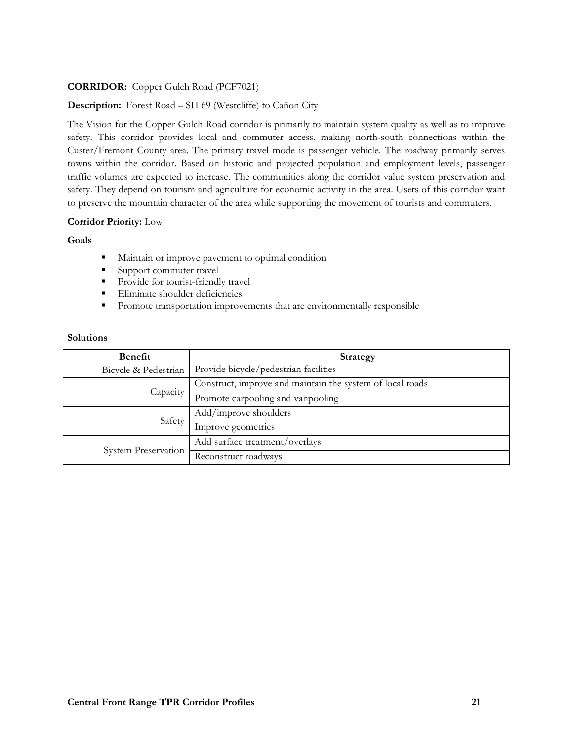# **CORRIDOR:** Copper Gulch Road (PCF7021)

# **Description:** Forest Road – SH 69 (Westcliffe) to Cañon City

The Vision for the Copper Gulch Road corridor is primarily to maintain system quality as well as to improve safety. This corridor provides local and commuter access, making north-south connections within the Custer/Fremont County area. The primary travel mode is passenger vehicle. The roadway primarily serves towns within the corridor. Based on historic and projected population and employment levels, passenger traffic volumes are expected to increase. The communities along the corridor value system preservation and safety. They depend on tourism and agriculture for economic activity in the area. Users of this corridor want to preserve the mountain character of the area while supporting the movement of tourists and commuters.

## **Corridor Priority:** Low

#### **Goals**

- **Maintain or improve pavement to optimal condition**
- Support commuter travel
- **Provide for tourist-friendly travel**
- **Eliminate shoulder deficiencies**
- **Promote transportation improvements that are environmentally responsible**

| Benefit              | <b>Strategy</b>                                           |
|----------------------|-----------------------------------------------------------|
| Bicycle & Pedestrian | Provide bicycle/pedestrian facilities                     |
| Capacity             | Construct, improve and maintain the system of local roads |
|                      | Promote carpooling and vanpooling                         |
| Safety               | Add/improve shoulders                                     |
|                      | Improve geometrics                                        |
| System Preservation  | Add surface treatment/overlays                            |
|                      | Reconstruct roadways                                      |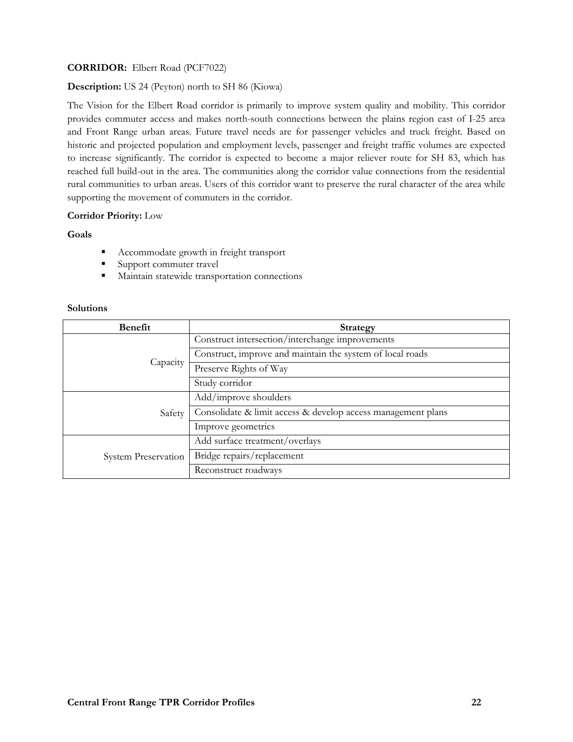# **CORRIDOR:** Elbert Road (PCF7022)

# **Description:** US 24 (Peyton) north to SH 86 (Kiowa)

The Vision for the Elbert Road corridor is primarily to improve system quality and mobility. This corridor provides commuter access and makes north-south connections between the plains region east of I-25 area and Front Range urban areas. Future travel needs are for passenger vehicles and truck freight. Based on historic and projected population and employment levels, passenger and freight traffic volumes are expected to increase significantly. The corridor is expected to become a major reliever route for SH 83, which has reached full build-out in the area. The communities along the corridor value connections from the residential rural communities to urban areas. Users of this corridor want to preserve the rural character of the area while supporting the movement of commuters in the corridor.

# **Corridor Priority:** Low

## **Goals**

- Accommodate growth in freight transport
- Support commuter travel
- **Maintain statewide transportation connections**

| <b>Benefit</b>             | <b>Strategy</b>                                              |
|----------------------------|--------------------------------------------------------------|
| Capacity                   | Construct intersection/interchange improvements              |
|                            | Construct, improve and maintain the system of local roads    |
|                            | Preserve Rights of Way                                       |
|                            | Study corridor                                               |
| Safety                     | Add/improve shoulders                                        |
|                            | Consolidate & limit access & develop access management plans |
|                            | Improve geometrics                                           |
| <b>System Preservation</b> | Add surface treatment/overlays                               |
|                            | Bridge repairs/replacement                                   |
|                            | Reconstruct roadways                                         |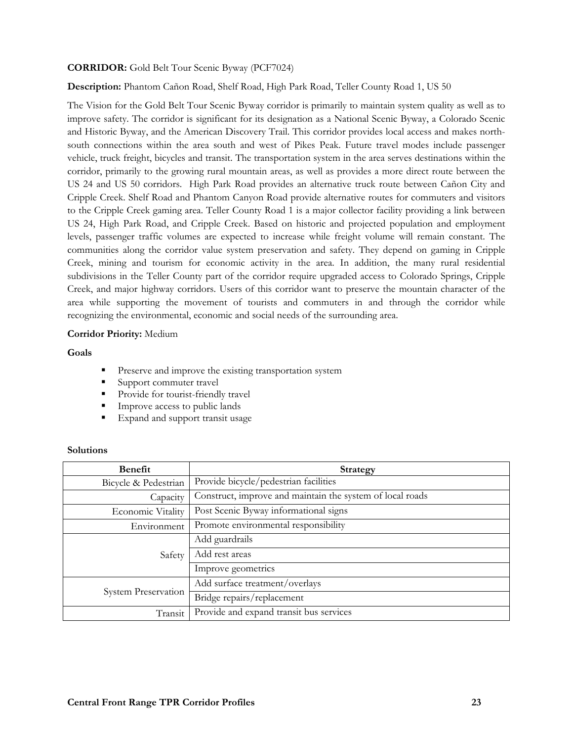# **CORRIDOR:** Gold Belt Tour Scenic Byway (PCF7024)

**Description:** Phantom Cañon Road, Shelf Road, High Park Road, Teller County Road 1, US 50

The Vision for the Gold Belt Tour Scenic Byway corridor is primarily to maintain system quality as well as to improve safety. The corridor is significant for its designation as a National Scenic Byway, a Colorado Scenic and Historic Byway, and the American Discovery Trail. This corridor provides local access and makes northsouth connections within the area south and west of Pikes Peak. Future travel modes include passenger vehicle, truck freight, bicycles and transit. The transportation system in the area serves destinations within the corridor, primarily to the growing rural mountain areas, as well as provides a more direct route between the US 24 and US 50 corridors. High Park Road provides an alternative truck route between Cañon City and Cripple Creek. Shelf Road and Phantom Canyon Road provide alternative routes for commuters and visitors to the Cripple Creek gaming area. Teller County Road 1 is a major collector facility providing a link between US 24, High Park Road, and Cripple Creek. Based on historic and projected population and employment levels, passenger traffic volumes are expected to increase while freight volume will remain constant. The communities along the corridor value system preservation and safety. They depend on gaming in Cripple Creek, mining and tourism for economic activity in the area. In addition, the many rural residential subdivisions in the Teller County part of the corridor require upgraded access to Colorado Springs, Cripple Creek, and major highway corridors. Users of this corridor want to preserve the mountain character of the area while supporting the movement of tourists and commuters in and through the corridor while recognizing the environmental, economic and social needs of the surrounding area.

## **Corridor Priority:** Medium

## **Goals**

- Preserve and improve the existing transportation system
- Support commuter travel
- **Provide for tourist-friendly travel**
- **Improve access to public lands**
- **Expand and support transit usage**

| <b>Benefit</b>             | <b>Strategy</b>                                           |
|----------------------------|-----------------------------------------------------------|
| Bicycle & Pedestrian       | Provide bicycle/pedestrian facilities                     |
| Capacity                   | Construct, improve and maintain the system of local roads |
| Economic Vitality          | Post Scenic Byway informational signs                     |
| Environment                | Promote environmental responsibility                      |
| Safety                     | Add guardrails                                            |
|                            | Add rest areas                                            |
|                            | Improve geometrics                                        |
| <b>System Preservation</b> | Add surface treatment/overlays                            |
|                            | Bridge repairs/replacement                                |
| Transit                    | Provide and expand transit bus services                   |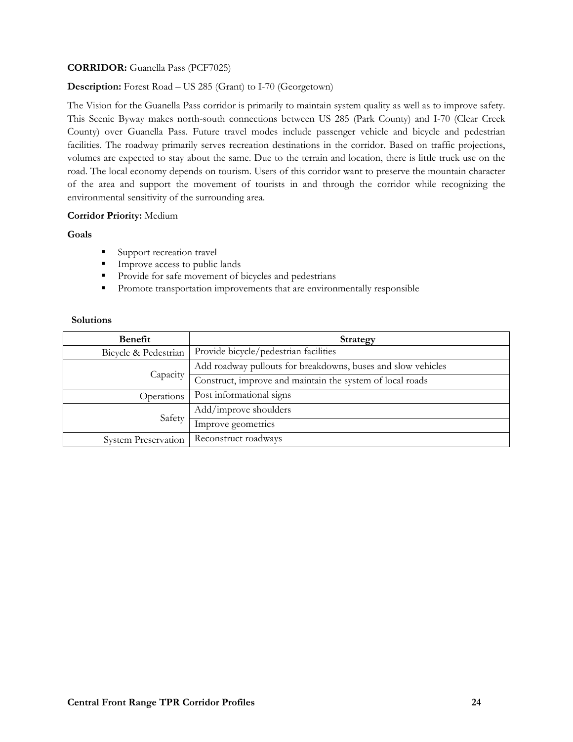# **CORRIDOR:** Guanella Pass (PCF7025)

# **Description:** Forest Road – US 285 (Grant) to I-70 (Georgetown)

The Vision for the Guanella Pass corridor is primarily to maintain system quality as well as to improve safety. This Scenic Byway makes north-south connections between US 285 (Park County) and I-70 (Clear Creek County) over Guanella Pass. Future travel modes include passenger vehicle and bicycle and pedestrian facilities. The roadway primarily serves recreation destinations in the corridor. Based on traffic projections, volumes are expected to stay about the same. Due to the terrain and location, there is little truck use on the road. The local economy depends on tourism. Users of this corridor want to preserve the mountain character of the area and support the movement of tourists in and through the corridor while recognizing the environmental sensitivity of the surrounding area.

## **Corridor Priority:** Medium

## **Goals**

- **Support recreation travel**
- **Improve access to public lands**
- **Provide for safe movement of bicycles and pedestrians**
- **Promote transportation improvements that are environmentally responsible**

| Benefit                    | Strategy                                                     |
|----------------------------|--------------------------------------------------------------|
| Bicycle & Pedestrian       | Provide bicycle/pedestrian facilities                        |
| Capacity                   | Add roadway pullouts for breakdowns, buses and slow vehicles |
|                            | Construct, improve and maintain the system of local roads    |
| Operations                 | Post informational signs                                     |
| Safety                     | Add/improve shoulders                                        |
|                            | Improve geometrics                                           |
| <b>System Preservation</b> | Reconstruct roadways                                         |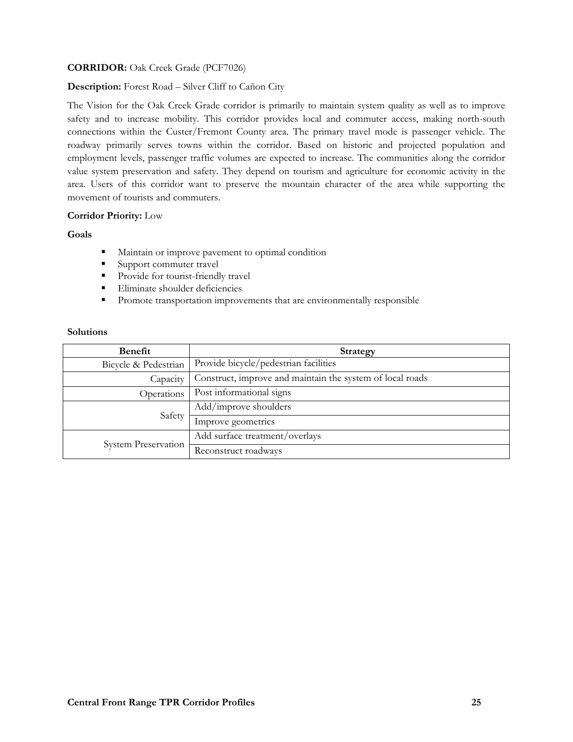# **CORRIDOR:** Oak Creek Grade (PCF7026)

# **Description:** Forest Road – Silver Cliff to Cañon City

The Vision for the Oak Creek Grade corridor is primarily to maintain system quality as well as to improve safety and to increase mobility. This corridor provides local and commuter access, making north-south connections within the Custer/Fremont County area. The primary travel mode is passenger vehicle. The roadway primarily serves towns within the corridor. Based on historic and projected population and employment levels, passenger traffic volumes are expected to increase. The communities along the corridor value system preservation and safety. They depend on tourism and agriculture for economic activity in the area. Users of this corridor want to preserve the mountain character of the area while supporting the movement of tourists and commuters.

## **Corridor Priority:** Low

## **Goals**

- **Maintain or improve pavement to optimal condition**
- Support commuter travel
- **Provide for tourist-friendly travel**
- Eliminate shoulder deficiencies
- **Promote transportation improvements that are environmentally responsible**

| Benefit                    | <b>Strategy</b>                                           |
|----------------------------|-----------------------------------------------------------|
| Bicycle & Pedestrian       | Provide bicycle/pedestrian facilities                     |
| Capacity                   | Construct, improve and maintain the system of local roads |
| Operations                 | Post informational signs                                  |
| Safety                     | Add/improve shoulders                                     |
|                            | Improve geometrics                                        |
| <b>System Preservation</b> | Add surface treatment/overlays                            |
|                            | Reconstruct roadways                                      |